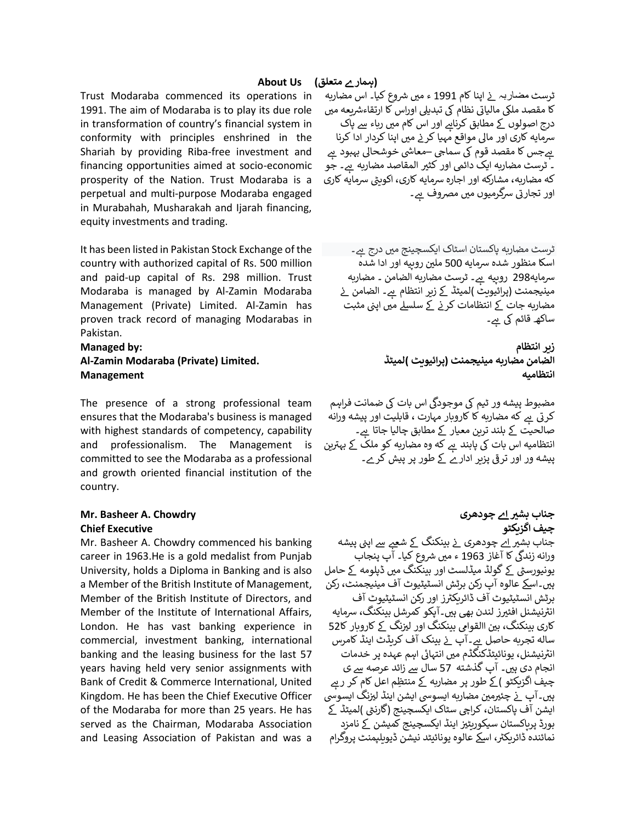Trust Modaraba commenced its operations in 1991. The aim of Modaraba is to play its due role in transformation of country's financial system in conformity with principles enshrined in the Shariah by providing Riba-free investment and financing opportunities aimed at socio-economic prosperity of the Nation. Trust Modaraba is a perpetual and multi-purpose Modaraba engaged in Murabahah, Musharakah and Ijarah financing, equity investments and trading.

It has been listed in Pakistan Stock Exchange of the country with authorized capital of Rs. 500 million and paid-up capital of Rs. 298 million. Trust Modaraba is managed by Al-Zamin Modaraba Management (Private) Limited. Al-Zamin has proven track record of managing Modarabas in Pakistan.

# **Managed by: Al-Zamin Modaraba (Private) Limited. Management**

The presence of a strong professional team ensures that the Modaraba's business is managed with highest standards of competency, capability and professionalism. The Management is committed to see the Modaraba as a professional and growth oriented financial institution of the country.

#### **Mr. Basheer A. Chowdry Chief Executive**

Mr. Basheer A. Chowdry commenced his banking career in 1963.He is a gold medalist from Punjab University, holds a Diploma in Banking and is also a Member of the British Institute of Management, Member of the British Institute of Directors, and Member of the Institute of International Affairs, London. He has vast banking experience in commercial, investment banking, international banking and the leasing business for the last 57 years having held very senior assignments with Bank of Credit & Commerce International, United Kingdom. He has been the Chief Executive Officer of the Modaraba for more than 25 years. He has served as the Chairman, Modaraba Association and Leasing Association of Pakistan and was a

۔<br>ٹرسٹ مضـار بہ \_نے اپنا کام 1991 ء میں شروع کیا۔ اس مضاربه یں ہے۔<br>کا مقصد ملکی مالیاتی نظام کی تبدیلی اوراس کا ارتقاءشریعه میں درج اصولوں کے مطابق کرناہے اور اس کام میں رباء سے پاک سرمایه کاری اور مالی مواقع مہیا کرنے میں اپنا کردار ادا کرنا : بےجس کا مقصد قوم کی سماجي –معاشی خوشحالی بہبود ہے ۔ ٹرسٹ مضاربه ایک دائمی اور کثیر المقاصد مضاربه ہے۔ جو<br>۔ که مضاربه، مشارکه اور اجارہ سرمایه کاری، اکویٹی سرمایه کاری اور تجارتی سرگرمیوں میں مصروف ہے۔<br>اور تجارتی سرگرمیوں میں مصروف ہے۔

ٹرسٹ مضاربه پاکستان اسٹاک ایکسچینج میں درج ہے۔ اسکا منظور شدہ شمایہ 500 مل ی روپیہ اور ادا شدہ سرمایه298 روپیه ہے۔ ٹرسٹ مضاربه الضامن ۔ مضاربه ۔<br>مینیجمنٹ (پرائیویٹ )لمیٹڈ کے زیر انتظام ہے۔ الضامن نے مضاربه جات کے انتظامات کرنے کے سلسلے میں اپنی مثبت ساکھـ قائم کی <u>ہ</u>ے۔

> **ز یر انتظام الضامن مضاربہ مینیجمنٹ (پرائیویٹ )لمیٹڈ انتظامیہ**

۔<br>مضبوط پیشه ور ٹیم کی موجودگی اس بات کی ضمانت فراہم مبر ہیں۔<br>کرتی ہے که مضاربه کا کاروبار مہارت ، قابلیت اور پیشه ورانه صالحیت کے بلند ترین معیار کے مطابق چالیا جاتا ہے۔<br>ـ بہ سے بہاں کہا ہے کہ میں اس کے ملک کے بہترین<br>انتظامیہ اس بات کی پابند ہے که وہ مضاربہ کو ملک کے بہترین پیشہ ور اور ترق پزیر ادارے ک طور پر پیش کرے۔

**جناب بش ی اے چودھری چیف اگزیکٹو**  ٭ ۔ ۔<br>جناب بش<u>یر اے</u> چودھری \_ز بینکنگ \_*ک*ے شعبے سے اپنی پیشه جندب ہس<u>بر ۲۰</u> چودشری کے بیمننٹ کے سطح سے <sub>ا</sub>پی پی<br>ورانه زندگی کا آغاز 1963 ء میں شروع کیا۔ آپ پنجاب یونیورسٹی کے گولڈ میڈلسٹ اور بینکنگ میں ڈپلومه کے حامل ہ ی۔اسےک عالوہ آپ رکن برٹش انسٹیٹیوٹ آف مینیجمنٹ، رکن برٹش انسٹیٹیوٹ آف <sup>ز</sup> ڈائریکی اور رکن انسٹیٹیوٹ آف .ر ت<br>انٹرنیشنل افئیرز لندن بھی ہیں۔آپکو کمرشل بینکنگ، سرمایه کاری بینکنگ، بین االقوامی بینکنگ اور لیزنگ کے کاروبار کا 52 ساله تجربه حاصل ہے۔آپ نے بینک آف کریڈٹ اینڈ کامرس نیشنل، انی یونائیٹڈکنگڈم م ی انتہات اہم عہدہ پر خدمات انجام دی ہیں۔ آپ گذشته 57 سال سے زائد عرصه سے ی چیفِ اگزیکٹو )کے طور پر مضاربه کے منتظِم اعل کامِ کر رہے س ہیں۔آپ کے بعثر مضاربہ ایسوسی ایشن اینڈ لیزنگ ایسوسی<br>ہیں۔آپ نے چئیرمین مضاربہ ایسوسی ایشن اینڈ لیزنگ ایسوسی ֢֢֢֧֢֢֧֧֢ׅ֧֪֪֪֪֪֧֚֚֚֚֚֚֚֡֝֟֓֡֡֡֜֝֜֜֜֜֝ ایشن آف پاکستان، کراچی سٹاک ایکسچینج (گارنٹی )لمیٹڈ کے بورڈ پرپاکستان سیکوریٹیر اینڈ ایکسچینج کمیشن کے نامزد .ری پہنچ ہے ۔<br>نمائندہ ڈائریکٹر، اسکے عالوہ یونائیٹد نیشن ڈیویلپمنٹ پروگرام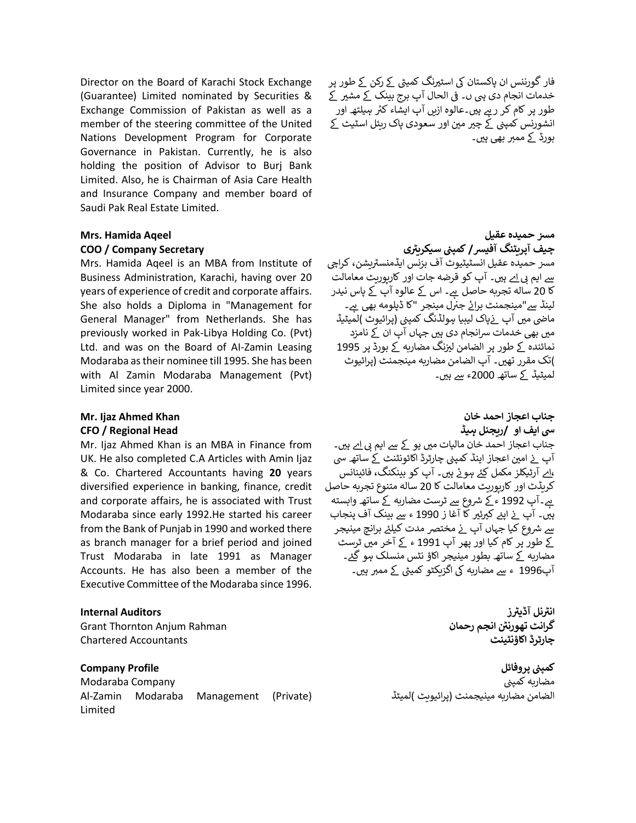Director on the Board of Karachi Stock Exchange (Guarantee) Limited nominated by Securities & Exchange Commission of Pakistan as well as a member of the steering committee of the United Nations Development Program for Corporate Governance in Pakistan. Currently, he is also holding the position of Advisor to Burj Bank Limited. Also, he is Chairman of Asia Care Health and Insurance Company and member board of Saudi Pak Real Estate Limited.

#### **Mrs. Hamida Aqeel**

#### **COO / Company Secretary**

Mrs. Hamida Aqeel is an MBA from Institute of Business Administration, Karachi, having over 20 years of experience of credit and corporate affairs. She also holds a Diploma in "Management for General Manager" from Netherlands. She has previously worked in Pak-Libya Holding Co. (Pvt) Ltd. and was on the Board of AI-Zamin Leasing Modaraba as their nominee till 1995. She has been with Al Zamin Modaraba Management (Pvt) Limited since year 2000.

#### **Mr. Ijaz Ahmed Khan CFO / Regional Head**

Mr. Ijaz Ahmed Khan is an MBA in Finance from UK. He also completed C.A Articles with Amin Ijaz & Co. Chartered Accountants having **20** years diversified experience in banking, finance, credit and corporate affairs, he is associated with Trust Modaraba since early 1992.He started his career from the Bank of Punjab in 1990 and worked there as branch manager for a brief period and joined Trust Modaraba in late 1991 as Manager Accounts. He has also been a member of the Executive Committee of the Modaraba since 1996.

#### **Internal Auditors**

Grant Thornton Anjum Rahman Chartered Accountants

**Company Profile** Modaraba Company Al-Zamin Modaraba Management (Private) Limited

فار گورننس ان پاکستان کی اسٹیرنگ کمیٹی کے رکن کے طور پر خدمات انجام دی ہی ں۔ فی الحال آپ برج بینک کے مشیر کے ہ ہ ی۔عالوہ ازیں آپ ایشاء طور پر کام کر <sup>ر</sup> کی ہیلتھ اور انشورنس کمپنی کے چیر مین اور سعودی پاک ریئل اسٹیٹ کے بورڈ کے ممبر بھی ہیں۔

#### **س م حمیدہ عقیل کمپ ی ن چیف آپریٹنگ آفیس / سیکریی <sup>ر</sup>** ستر حمیدہ عقیل انسٹیٹیوٹ آف بزنس ایڈمنسٹریشن، کراچی  $\sim$ <u>سے</u> ایم بی اے ہیں۔ آپ کو قرضه جات اور کارپوریٹ معامالت کا 20 ساله تجربه حاصل ہے۔ اس کے عالوہ آپ کے پاس نیدر ر سے سے ہیں۔<br>لینڈ سے"مینجمنٹ برائے جنرل مینجر "کا ڈپلومه بھی ہے۔ : ما م ی آپ پاک ض ٹ (پرائیوٹ )لمیٹیڈ ن لیبیا ہولڈنگ کمپ : میں بھی خدمات سرانجام دی ہیں جہاں آپ ان کے نامزد نمائندہ کے طور پر الضامن لیزنگ مضاربه کے بورڈ پر 1995 )تک مقرر تھ ی۔ آپ الضامن مضاربہ مینجمنٹ (پرائیوٹ لمیٹیڈ کے ساتھ 2000ء سے ہیں۔

**جناب اعجاز احمد خان یس ایف او /ریجنل ہیڈ**  جناب اعجاز احمد خان مالیات میں یو کے سے ایم بی <u>ا</u>ے ہیں۔ .<br>آپ نے امین اعجاز اینڈ کمپنی چارٹرڈ اکائونٹنٹ کے ساتھ سی ،اے آرٹیکلز مکمل کئے ہوئے ہیں۔ آپ کو بینکنگ، فائینانس  $\ddot{\cdot}$ کریڈٹ اور کارپوریٹ معامالت کا 20 سالہ متنوع تجربہ حاصل ہے۔آپ 1992 ء کے شروع سے ٹرسٹ مضاربه کے ساتھ وابسته ہیں۔ آپ نے اپنے کیرئیر کا آغا ز 1990 ء سے بینک آف پنجاب ֚֚֚֚֚֚֬ ֦֧ ے<br>سے شروع کیا جہاں آپ نے مختصر مدت کیلئے برانچ مینیجر ֦֧ ֞ کے طور پر کام کیا اور پھر آپ 1991 ء کے آخر میں ٹرسٹ مضاربه کے ساتھ بطور مینیجر اکاؤ نٹس منسلک ہو گئے۔ آپ1996 ء سے مضاربه کی اگزیکٹو کمیٹی کے ممبر ہیں۔

> **نل ر انی ز آڈیی <sup>ر</sup> گرانٹ ر تھورنٹ انجم رحمان چارٹرڈ اکاؤنٹینٹ**

كمپنى پرو<mark>ف</mark>ائل .<br>مضاربه کمپنی الضامن مضاربہ مینیجمنٹ (پرائیویٹ )لمیٹڈ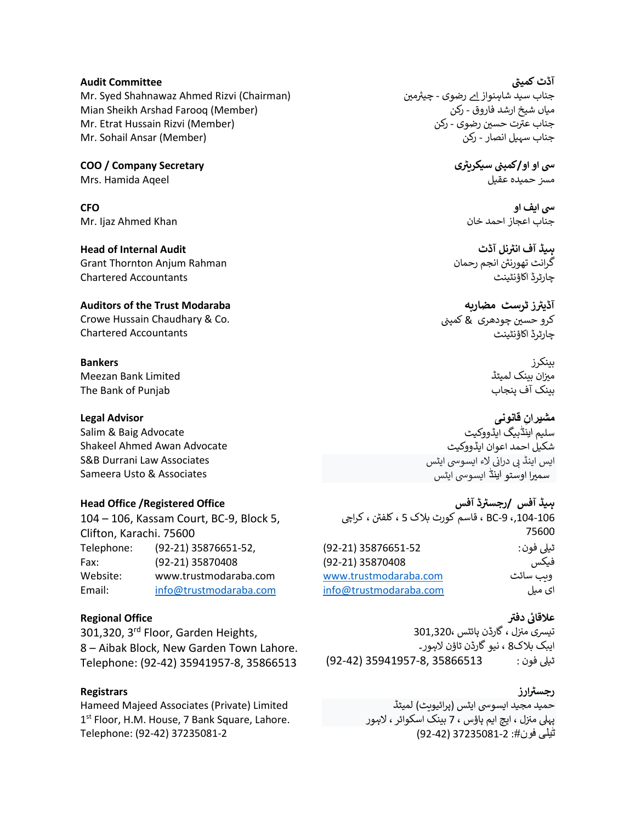#### **Audit Committee**

Mr. Syed Shahnawaz Ahmed Rizvi (Chairman) Mian Sheikh Arshad Farooq (Member) Mr. Etrat Hussain Rizvi (Member) Mr. Sohail Ansar (Member)

**COO / Company Secretary** Mrs. Hamida Aqeel

**CFO** Mr. Ijaz Ahmed Khan

**Head of Internal Audit** Grant Thornton Anjum Rahman Chartered Accountants

#### **Auditors of the Trust Modaraba**

Crowe Hussain Chaudhary & Co. Chartered Accountants

### **Bankers**

Meezan Bank Limited The Bank of Punjab

## **Legal Advisor**

Salim & Baig Advocate Shakeel Ahmed Awan Advocate S&B Durrani Law Associates Sameera Usto & Associates

#### **Head Office /Registered Office**

104 – 106, Kassam Court, BC-9, Block 5, Clifton, Karachi. 75600 Telephone: (92-21) 35876651-52, Fax: (92-21) 35870408 Website: www.trustmodaraba.com Email: [info@trustmodaraba.com](mailto:info@trustmodaraba.com)

# **Regional Office**

301,320, 3<sup>rd</sup> Floor, Garden Heights, 8 – Aibak Block, New Garden Town Lahore. Telephone: (92-42) 35941957-8, 35866513

## **Registrars**

Hameed Majeed Associates (Private) Limited 1<sup>st</sup> Floor, H.M. House, 7 Bank Square, Lahore. Telephone: (92-42) 37235081-2

آ<mark>ڈٹ کمیٹی</mark> ی جناب سید شاہنواز اے رضو ی - چی <sup>م</sup> ی میاں ش یخ ارشد فاروق - رکن ۔ ۔ ۔ ۔ ۔ ۔ ۔ ۔ ۔ ۔ ۔ ۔ ۔ رکن<br>جناب عترت حسین رضوی - رکن جناب سہیل انصار - رکن

> **یی ر ن سیکری یس او او /کمپ** مسز حمیدہ عقیل

> > **یس ایف او**  جناب اعجاز احمد خان

**ر ہیڈ آف نل انی آڈٹ**  گرانٹ تھورنی انجم رحمان چارٹرڈ اکاؤنٹینٹ

آڈیٹرز ٹرسٹ م<mark>ض</mark>اربه کرو حسین چودھری <u>&</u> کمپنی چارٹرڈ اکاؤنٹینٹ

> بینکرز میزان بینک لمیٹڈ : بینک آف پنجاب

**ِن قانونی مشیرا** سلیم اینَڈبیگ ایڈووکیٹ شکیل احمد اعوان ایڈووکیٹ یں ہیں۔<br>ایس اینڈ بی درانی لاء ایسوسی ایٹس سمیرا اوستو اینڈ ایسوسی ایٹس

**رجسی آفس <sup>ر</sup> ہیڈ آفس / <sup>ڈ</sup>** . .<br>104-106,، BC-9 ، قاسم کورٹ بلاک 5 ، کلفٹن ، کراچی 75600 ٹییل فون : 35876651-52 (92-21) فیکس 35870408 (92-21) www.trustmodaraba.com ای میل info@trustmodaraba.com

#### **عالقائ دفی**

۔<br>تی*سری* منزل ، گارڈن ہائٹس ،301,320 ֚֚֚֚֚֬ ایبک بلاک8 ، نیو گارڈن ٹاؤن لاہور۔ ٹییل فون : 35866513 35941957-8, (92-42)

# <mark>رجسٹرارز</mark>

حمید مجید ایسوسی ایٹس (پرائیویٹ) لمیٹڈ پہلی منزل ، ایچ ایم ہاؤس ، 7 بینک اسکوائر ، لاہور ی ی ٹیلی فون:# 37235081-2 (92-42)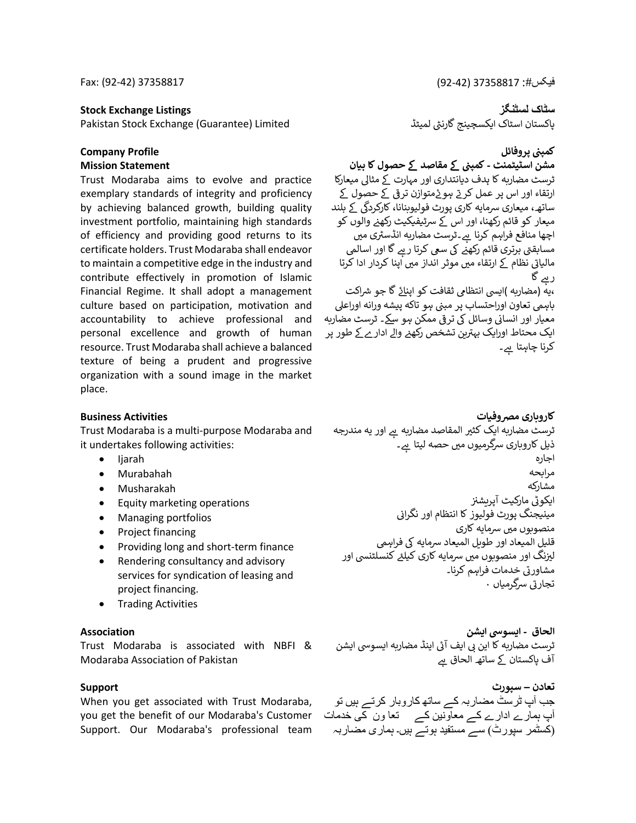#### **Stock Exchange Listings**

Pakistan Stock Exchange (Guarantee) Limited

#### **Company Profile Mission Statement**

Trust Modaraba aims to evolve and practice exemplary standards of integrity and proficiency by achieving balanced growth, building quality investment portfolio, maintaining high standards of efficiency and providing good returns to its certificate holders. Trust Modaraba shall endeavor to maintain a competitive edge in the industry and contribute effectively in promotion of Islamic Financial Regime. It shall adopt a management culture based on participation, motivation and accountability to achieve professional and personal excellence and growth of human resource. Trust Modaraba shall achieve a balanced texture of being a prudent and progressive organization with a sound image in the market place.

#### **Business Activities**

Trust Modaraba is a multi-purpose Modaraba and it undertakes following activities:

- Ijarah
- Murabahah
- Musharakah
- Equity marketing operations
- Managing portfolios
- Project financing
- Providing long and short-term finance
- Rendering consultancy and advisory services for syndication of leasing and project financing.
- Trading Activities

#### **Association**

Trust Modaraba is associated with NBFI & Modaraba Association of Pakistan

#### **Support**

When you get associated with Trust Modaraba, you get the benefit of our Modaraba's Customer Support. Our Modaraba's professional team

**سٹاک لسٹنگز**  پاکستان اسٹاک ایکسچینج گارنٹی لمیٹڈ

# كمپنى پرو<mark>ف</mark>ائل

**کمپ ےک مقاصد ےک حصول کا بیان ن مشن اسٹیٹمنٹ -** ٹرسٹ مضاربہ کا ہدف دیانتداری اور مہارت ک مثایل میعارکا ر<br>ارتقاء اور اس پر عمل کرتے ہوئےمتوازن ترقی کے حصول کے .<br>د ، سعام اور اس پر حسن عربے ہو۔ مسواری عربی سے حصوں سے<br>ساتھ، میعاری سرمایه کاری پورٹ فولیوبنانا، کارکردگی کے بلند میعار کو قائم رکھنا، اور اس کے سرٹیفیکیٹ رکھنے والوں کو اچھا منافع فراہم کرنا ہے۔ٹرسٹ مضاربه انڈسٹری میں مسابقتی برتری قائم رکھنے کی سعی کرتا رہے گا اور اسالمی : ۔ ت بررت سے ہمارت کے سات کر رہے۔<br>مالیاتی نظام کے ارتقاء میں موثر انداز میں اپنا کردار ادا کرتا ہ ر گا ۔<br>،یه (مضاربه )ایسی انتظامی ثقافت کو اپن<u>ائ</u> گا جو شراکت باہمی تعاون اوراحتساب پر مبنی ہو تاکه پیشه ورانه اوراعلی . ، میں صحت رہا ہے ، وہ ، وہ ، وہ ۔<br>معیار اور انسانی وسائل کی ترقی ممکن ہو سکے۔ ٹرسٹ مضاربه ۔ وہ تشخیص کی تشخص رہے ہیں ہے ۔<br>ایک محتاط اورایک بہترین تشخص رکھنے والے ادار ے کے طور پر کرنا چاہتا ہے۔

#### **کاروباری مرصوفیات**

ٹرسٹ مضاربه ایک کثیر المقاصد مضاربه ہے اور یه مندرجه ذیل کاروباری سرگرمیوں میں حصه لیتا ہے۔ اجارہ مرابحہ مشارکہ ۔<br>ایکوٹی مارکیٹ آپریشنز ֚֚֚֚֡ اپلوی پر<sub>زیجی</sub> پر<br>مینیجنگ پورٹ فولیوز کا انتظام اور نگرانی منصوبوں میں سرمایه کاری قلیل المیعاد اور طویل المیعاد سرمایه کی فراہمی لیزنگ اور منصوبوں میں سرمایه کاری کیلئے کنسلٹنسی اور i یں<br>مشاورتی خدمات فراہم کرنا۔ ۔<br>تجارتی سرگرمیاں ·

**الحاق - ایسویس ایشن**  ت ٹرسٹ مضاربہ کا این ایف آت اینڈ مضاربہ ایسوش ایشن آف پاکستان کے ساتھ الحاق ہے

**تعادن – سپورٹ**  جب آپ ٹرسٹ مضاربہ کے ساتھ کاروبار کرتے ہیں تو آپ ہمارے ادارے کے معاونین کے تعا ون کی خدمات )کسٹمر سپورٹ ( سے مستفید ہوتے ہیں۔ ہماری مضاربہ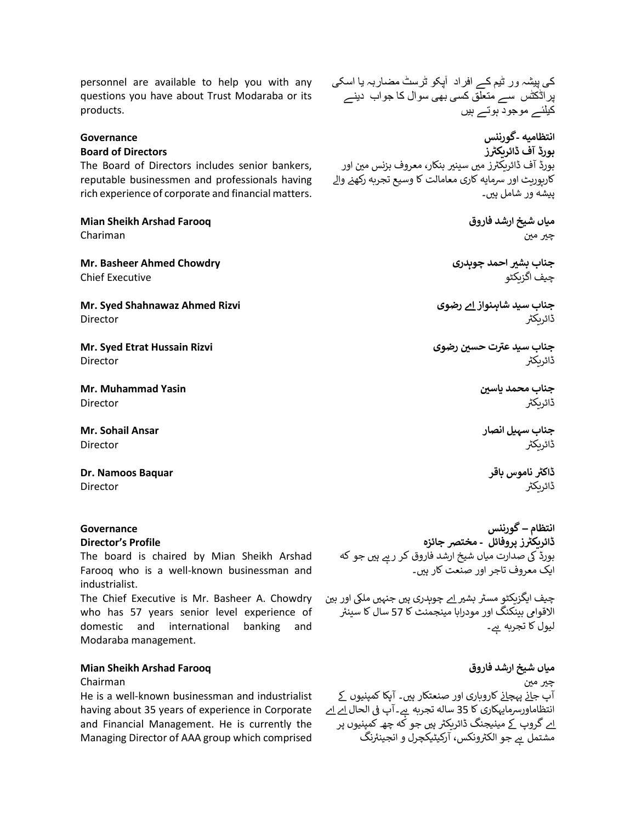personnel are available to help you with any questions you have about Trust Modaraba or its products.

#### **Governance**

#### **Board of Directors**

The Board of Directors includes senior bankers, reputable businessmen and professionals having rich experience of corporate and financial matters.

**Mian Sheikh Arshad Farooq**

Chariman

**Mr. Basheer Ahmed Chowdry** Chief Executive

**Mr. Syed Shahnawaz Ahmed Rizvi** Director

**Mr. Syed Etrat Hussain Rizvi Director** 

**Mr. Muhammad Yasin Director** 

**Mr. Sohail Ansar** Director

**Dr. Namoos Baquar** Director

# **Governance**

### **Director's Profile**

The board is chaired by Mian Sheikh Arshad Farooq who is a well-known businessman and industrialist.

The Chief Executive is Mr. Basheer A. Chowdry who has 57 years senior level experience of domestic and international banking and Modaraba management.

# **Mian Sheikh Arshad Farooq**

#### Chairman

He is a well-known businessman and industrialist having about 35 years of experience in Corporate and Financial Management. He is currently the Managing Director of AAA group which comprised

کی پیشہ ور ٹیم کے افراد آپکو ٹرسٹ مضاربہ یا اسکی پراڈکٹس سے متعلق کسی بھی سوال کا جواب دینے کیلئے موجود ہوتے ہیں

**انتظامیہ -گورننس ڈائریکی <sup>ر</sup> بورڈ آف <sup>ز</sup>** ۔<br>بورڈ آف ڈائریکٹرز میں سینیر بنکار، معروف بزنس مین اور کارپوریٹ اور شمایہ کاری معامالت کا وسیع تجربہ رکھن وال پیشه ور شامل ہیں۔

> **میاں شیخ ارشد فاروق**  چیر مین

**جناب بش ی احمد چوہدر ی**  چیف اگزیکٹو

**جناب سید شاہنواز اے رضوی**  .<br>ڈائریکٹر

جناب سید عترت حسین رضوی ڈائریکی

> جناب محمد یاسین .<br>ڈائریکٹر

**جناب سہیل انصار**  .<br>ڈائریکٹر

**ر ڈاکی ناموس باقر** ڈائریکی

**انتظام – گورننس ز ر ڈائریکی پروفائل - مخترص جائزہ** بوِرڈ کی صدارت میاں شیخ ارشد فاروق کر رہے ہیں جو که ایک معروف تاجر اور صنعت کار ہیں۔

چیف ایگزیکٹو مسٹر بش<u>یر ا</u>ے چوہدری ہیں جنہیں ملکی اور بین الاقوامی بینکنگ اور مودرابا مینجمنٹ کا 57 سال کا سینئر لیول کا تجربه ً س۔

**میاں شیخ ارشد فاروق**  چیر مین ۔<br>آپ ج<u>ا</u>ذ پہچانے کاروباری اور صنعتکار ہیں۔ آپکا کمپنیوں کے ہ ہے ۔ اس کا محدد کے دور تک کر ہے۔<br>انتظاماورسرمایہکاری کا 35 سالہ تجربہ ہے۔ آپ في الحال <u>اے ا</u>ے ۔<br>اے گروپ کے مینیجنگ ڈائریکٹر ہیں جو کہ چھ کمپنیوں پر ے کی بہت ہے ۔<br>مشتمل ہے جو الکٹرونکس، آرکیٹیکچرل و انجینئرنگ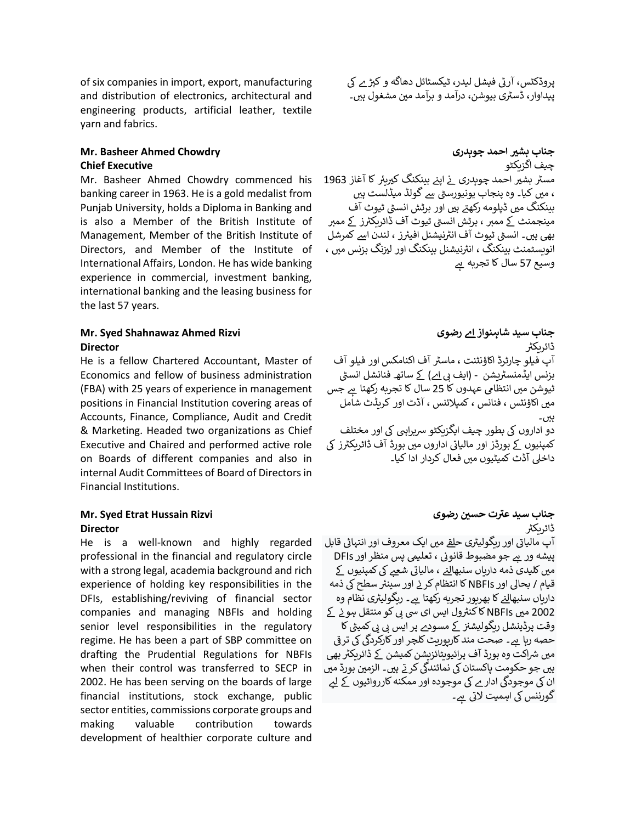of six companies in import, export, manufacturing and distribution of electronics, architectural and engineering products, artificial leather, textile yarn and fabrics.

# **Mr. Basheer Ahmed Chowdry Chief Executive**

Mr. Basheer Ahmed Chowdry commenced his banking career in 1963. He is a gold medalist from Punjab University, holds a Diploma in Banking and is also a Member of the British Institute of Management, Member of the British Institute of Directors, and Member of the Institute of International Affairs, London. He has wide banking experience in commercial, investment banking, international banking and the leasing business for the last 57 years.

# **Mr. Syed Shahnawaz Ahmed Rizvi Director**

He is a fellow Chartered Accountant, Master of Economics and fellow of business administration (FBA) with 25 years of experience in management positions in Financial Institution covering areas of Accounts, Finance, Compliance, Audit and Credit & Marketing. Headed two organizations as Chief Executive and Chaired and performed active role on Boards of different companies and also in internal Audit Committees of Board of Directors in Financial Institutions.

# **Mr. Syed Etrat Hussain Rizvi**

#### **Director**

He is a well-known and highly regarded professional in the financial and regulatory circle with a strong legal, academia background and rich experience of holding key responsibilities in the DFIs, establishing/reviving of financial sector companies and managing NBFIs and holding senior level responsibilities in the regulatory regime. He has been a part of SBP committee on drafting the Prudential Regulations for NBFIs when their control was transferred to SECP in 2002. He has been serving on the boards of large financial institutions, stock exchange, public sector entities, commissions corporate groups and making valuable contribution towards development of healthier corporate culture and

پروڈکٹس، آرٹی فیشل لیدر، ٹیکسٹائل دھاگه و کپڑ ے کی پری سے مسین میں ہے ۔<br>پیداوار، ڈسٹری بیوشن، درآمد و برآمد مین مشغول ہیں۔

**جناب بش ی احمد چوہدر ی**  چیف اگزیکٹو ۔ ۔ ۔<br>مسٹر بشیر احمد چوہدری نے اپنے بینکنگ کیریئر کا آغاز 1963 ֦֧ ֦֧ i ، میں کیا۔ وہ پنجاب یونیورسٹی سے گولڈ میڈلسٹ ہیں بینکنگ میں ڈپلومه رکھتے ہیں اور برٹش انسٹی ٹیوٹ آف ..<br>مینجمنٹ کے ممبر ، برٹش انسٹی ٹیوٹ آف ڈائریکٹرز کے ممبر ۔ . . . . \_\_<br>بھی ہیں۔ انسٹی ٹیوٹ آف انٹرنیشنل افیئرز ، لندن اسے کمرشل ..ت .<u>۔</u><br>انویسٹمنٹ بینکنگ ، انٹرنیشنل بینکنگ اور لیزنگ بزنس میں ، ہ وسیع 57 سال کا تجربہ

**جناب سید شاہنواز اے رضوی**  ڈائریکی آپ فیلو چارٹرڈ اکاؤنٹنٹ ، ماسٹر آف اکنامکس اور فیلو آف بزنس ایڈمنسٹریشن - (ایف <u>بی اے)</u> کے ساتھ فنانشل انسٹی<br>بزنس ایڈمنسٹریشن - (ایف <u>بی اے)</u> کے ساتھ فنانشل انسٹی ٹیوشن میں انتظامی عہدوں کا 25 سال کا تجربه رکھتا ہے جس میں اکاؤنٹس ، فنانس ، کمپلائنس ، آڈٹ اور کریڈٹ شامل ہیں۔ دو اداروں کی بطور چیف ایگزیکٹو سریراہی کی اور مختلف کمپنیوں کے بورڈز اور مالیاتی اداروں میں بورڈ آف ڈائریکٹرز کی داخلی آڈٹ کمیٹیوں میں فعال کردار ادا کیا۔

# جناب سید عترت حسین رضوی ڈائریکی

۔<br>آپ مالیاتی اور ریگولیٹری ح<u>لق</u> میں ایک معروف اور انتہائی قابل ، تعلییم پس منظر اور ےہ جو مضبوط قانوب <sup>ی</sup> پیشہ ور DFIs ۔۔۔ ۔۔۔ ۔۔۔ ۔۔۔۔۔۔۔۔۔۔۔۔<br>میں کلیدی ذمه داریاں سنبھا<u>لنے</u> ، مالیاتی شعبے کی کمپنیوں کے ۔<br>قیام / بحالی اور NBFIs کا انتظام کرنے اور سینئر سطح کی ذمه ی ۔ اس نے کو کو بھرپور تجربہ رکھتا ہے۔ ریگولیٹری نظام وہ<br>داریاں سنبھا<u>لنے</u> کا بھرپور تجربہ رکھتا ہے۔ ریگولیٹری نظام وہ ی 2002 مںی NBFIs ےک ول ایس ای یسیبکو منتقل ہون کاکنن <sup>ر</sup> رٹکا ےک مسودے پر ایس یبیبکمی وقت پرڈینشل ریگولیشن <sup>ی</sup> یوت پردیسن ریٹونیسر کے مسو<u>ح</u> پر ایس بی پی منیتی ت<br>حصه رہا ہے۔ صحت مند کارپوریٹ کلچر اور کارکردگی کی ترقی بیھ مںی رشاکت وہ بورڈ آف پرائیویٹائزیشنکمیشن ےک ڈائریکن <sup>ر</sup> بین سرکت وہ بورڈ اب پرانیویڈنریسن سیسن کے دائریڈر بھی۔<br>ہیں جو حکومت پاکستان کی نمائندگی کرتے ہیں۔ الزمین بورڈ میں ہیں ہو حتویت پاکستان کی سائندی کرتے ہیں۔ انولین بورڈ س<br>اِن کی موجودگی ادارے کی موجودہ اور ممکنه کارروائیوں کے لیے ۔ ب رب کے اہمیت لاتی ہے۔<br>گورننس کی اہمیت لاتی ہے۔